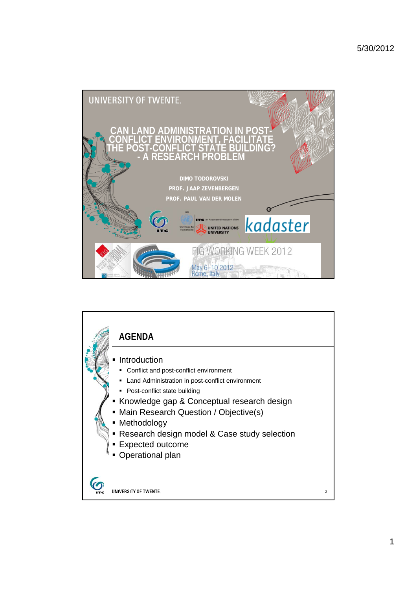

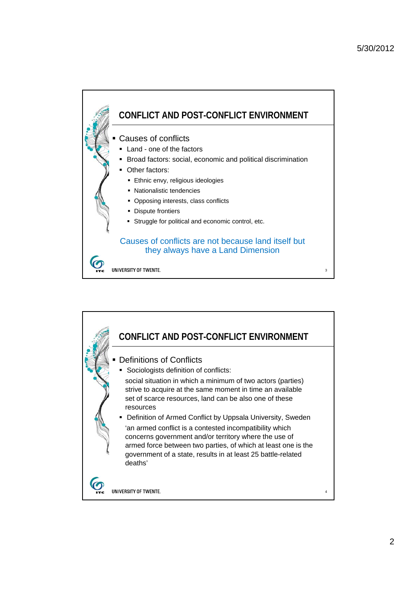

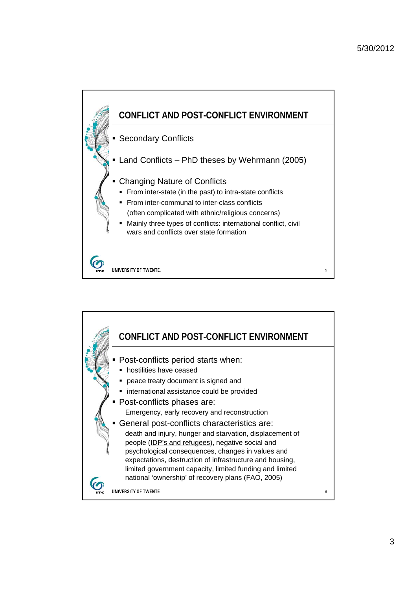

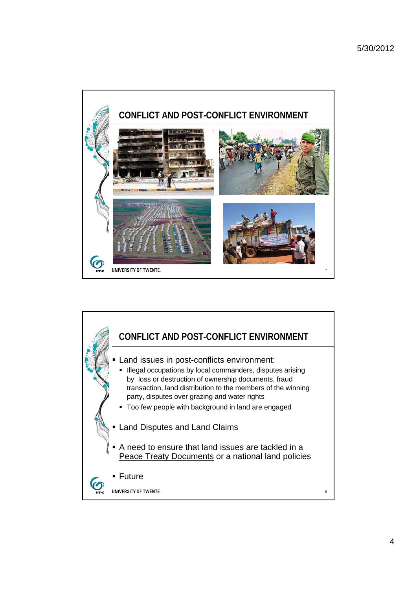

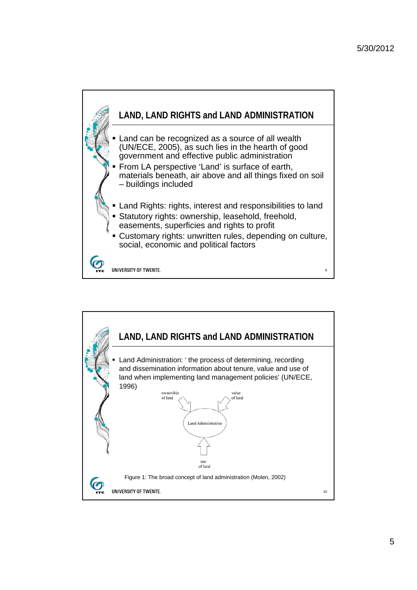

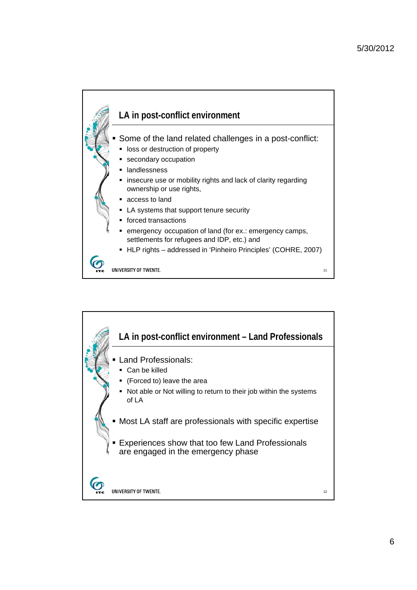

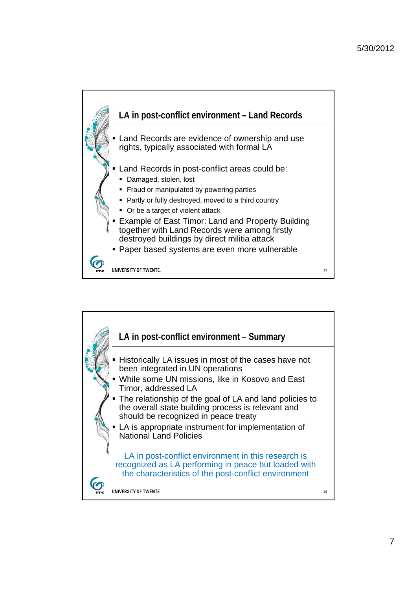

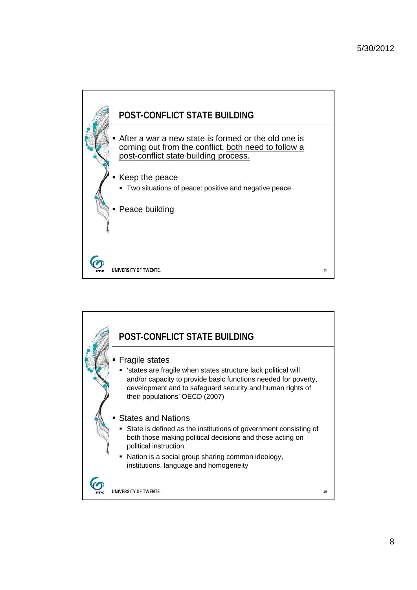

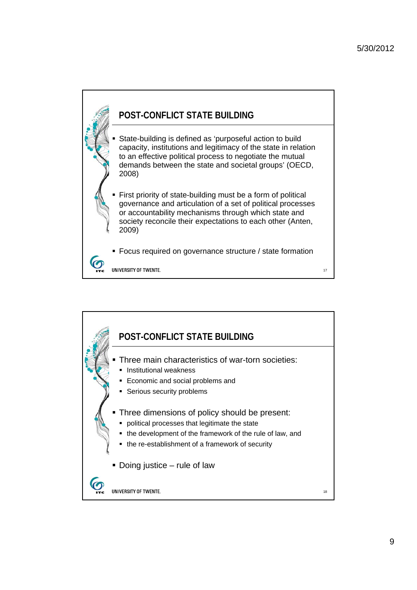

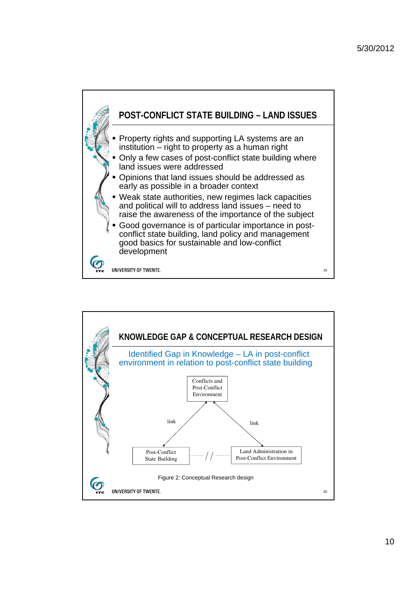

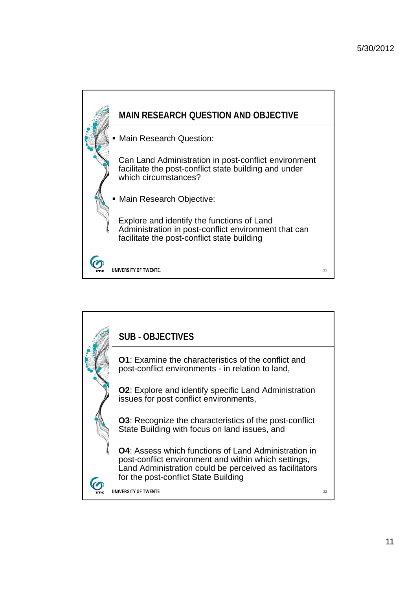